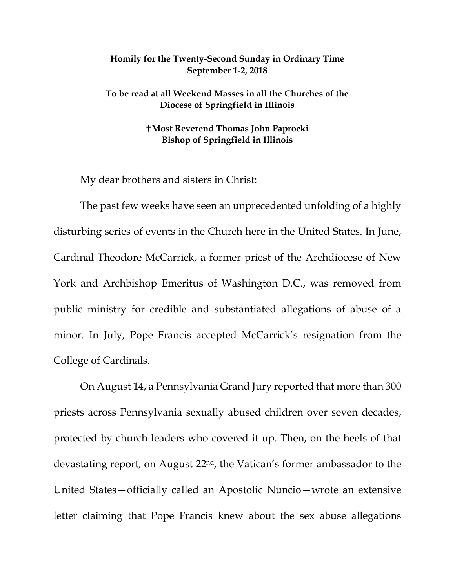## **Homily for the Twenty-Second Sunday in Ordinary Time September 1-2, 2018**

**To be read at all Weekend Masses in all the Churches of the Diocese of Springfield in Illinois**

## **Most Reverend Thomas John Paprocki Bishop of Springfield in Illinois**

My dear brothers and sisters in Christ:

The past few weeks have seen an unprecedented unfolding of a highly disturbing series of events in the Church here in the United States. In June, Cardinal Theodore McCarrick, a former priest of the Archdiocese of New York and Archbishop Emeritus of Washington D.C., was removed from public ministry for credible and substantiated allegations of abuse of a minor. In July, Pope Francis accepted McCarrick's resignation from the College of Cardinals.

On August 14, a Pennsylvania Grand Jury reported that more than 300 priests across Pennsylvania sexually abused children over seven decades, protected by church leaders who covered it up. Then, on the heels of that devastating report, on August 22nd, the Vatican's former ambassador to the United States—officially called an Apostolic Nuncio—wrote an extensive letter claiming that Pope Francis knew about the sex abuse allegations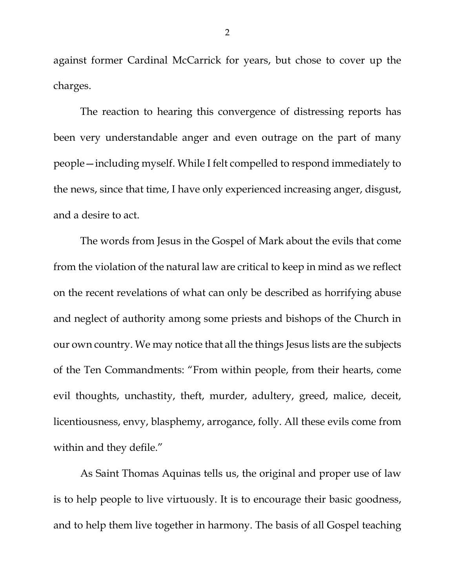against former Cardinal McCarrick for years, but chose to cover up the charges.

The reaction to hearing this convergence of distressing reports has been very understandable anger and even outrage on the part of many people—including myself. While I felt compelled to respond immediately to the news, since that time, I have only experienced increasing anger, disgust, and a desire to act.

The words from Jesus in the Gospel of Mark about the evils that come from the violation of the natural law are critical to keep in mind as we reflect on the recent revelations of what can only be described as horrifying abuse and neglect of authority among some priests and bishops of the Church in our own country. We may notice that all the things Jesus lists are the subjects of the Ten Commandments: "From within people, from their hearts, come evil thoughts, unchastity, theft, murder, adultery, greed, malice, deceit, licentiousness, envy, blasphemy, arrogance, folly. All these evils come from within and they defile."

As Saint Thomas Aquinas tells us, the original and proper use of law is to help people to live virtuously. It is to encourage their basic goodness, and to help them live together in harmony. The basis of all Gospel teaching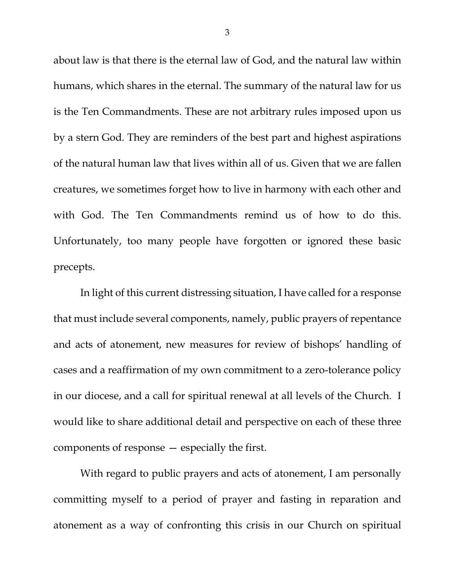about law is that there is the eternal law of God, and the natural law within humans, which shares in the eternal. The summary of the natural law for us is the Ten Commandments. These are not arbitrary rules imposed upon us by a stern God. They are reminders of the best part and highest aspirations of the natural human law that lives within all of us. Given that we are fallen creatures, we sometimes forget how to live in harmony with each other and with God. The Ten Commandments remind us of how to do this. Unfortunately, too many people have forgotten or ignored these basic precepts.

In light of this current distressing situation, I have called for a response that must include several components, namely, public prayers of repentance and acts of atonement, new measures for review of bishops' handling of cases and a reaffirmation of my own commitment to a zero-tolerance policy in our diocese, and a call for spiritual renewal at all levels of the Church. I would like to share additional detail and perspective on each of these three components of response — especially the first.

With regard to public prayers and acts of atonement, I am personally committing myself to a period of prayer and fasting in reparation and atonement as a way of confronting this crisis in our Church on spiritual

3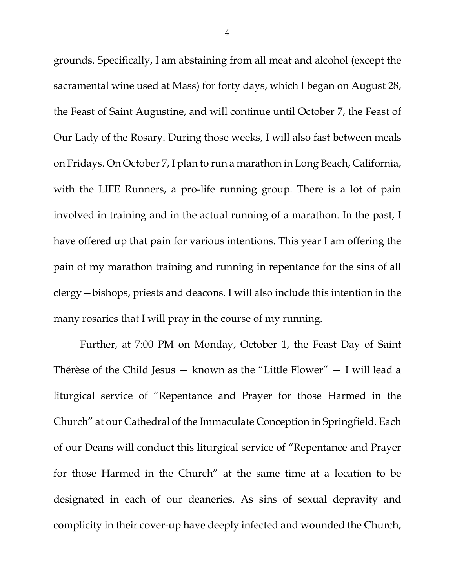grounds. Specifically, I am abstaining from all meat and alcohol (except the sacramental wine used at Mass) for forty days, which I began on August 28, the Feast of Saint Augustine, and will continue until October 7, the Feast of Our Lady of the Rosary. During those weeks, I will also fast between meals on Fridays. On October 7, I plan to run a marathon in Long Beach, California, with the LIFE Runners, a pro-life running group. There is a lot of pain involved in training and in the actual running of a marathon. In the past, I have offered up that pain for various intentions. This year I am offering the pain of my marathon training and running in repentance for the sins of all clergy—bishops, priests and deacons. I will also include this intention in the many rosaries that I will pray in the course of my running.

Further, at 7:00 PM on Monday, October 1, the Feast Day of Saint Thérèse of the Child Jesus — known as the "Little Flower" — I will lead a liturgical service of "Repentance and Prayer for those Harmed in the Church" at our Cathedral of the Immaculate Conception in Springfield. Each of our Deans will conduct this liturgical service of "Repentance and Prayer for those Harmed in the Church" at the same time at a location to be designated in each of our deaneries. As sins of sexual depravity and complicity in their cover-up have deeply infected and wounded the Church,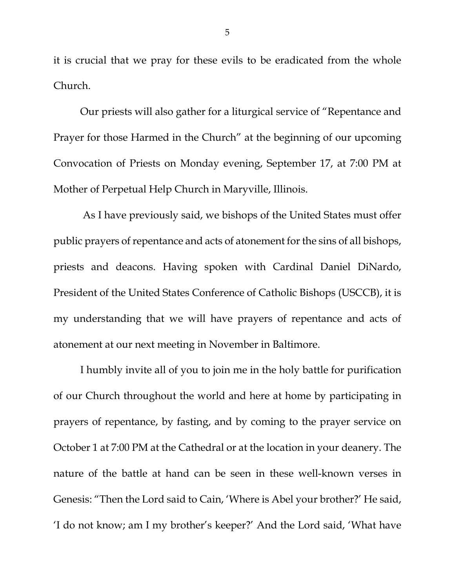it is crucial that we pray for these evils to be eradicated from the whole Church.

Our priests will also gather for a liturgical service of "Repentance and Prayer for those Harmed in the Church" at the beginning of our upcoming Convocation of Priests on Monday evening, September 17, at 7:00 PM at Mother of Perpetual Help Church in Maryville, Illinois.

As I have previously said, we bishops of the United States must offer public prayers of repentance and acts of atonement for the sins of all bishops, priests and deacons. Having spoken with Cardinal Daniel DiNardo, President of the United States Conference of Catholic Bishops (USCCB), it is my understanding that we will have prayers of repentance and acts of atonement at our next meeting in November in Baltimore.

I humbly invite all of you to join me in the holy battle for purification of our Church throughout the world and here at home by participating in prayers of repentance, by fasting, and by coming to the prayer service on October 1 at 7:00 PM at the Cathedral or at the location in your deanery. The nature of the battle at hand can be seen in these well-known verses in Genesis: "Then the Lord said to Cain, 'Where is Abel your brother?' He said, 'I do not know; am I my brother's keeper?' And the Lord said, 'What have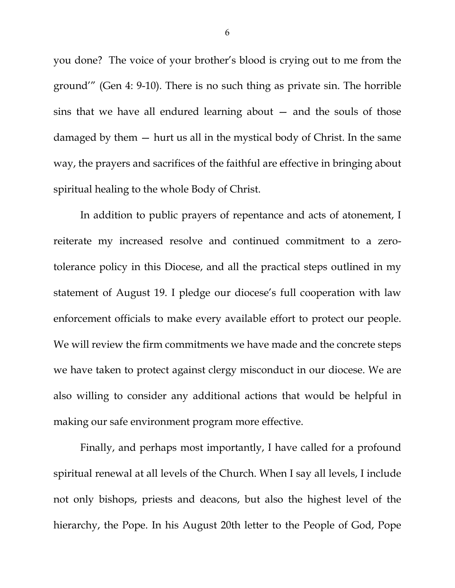you done? The voice of your brother's blood is crying out to me from the ground'" (Gen 4: 9-10). There is no such thing as private sin. The horrible sins that we have all endured learning about — and the souls of those damaged by them — hurt us all in the mystical body of Christ. In the same way, the prayers and sacrifices of the faithful are effective in bringing about spiritual healing to the whole Body of Christ.

In addition to public prayers of repentance and acts of atonement, I reiterate my increased resolve and continued commitment to a zerotolerance policy in this Diocese, and all the practical steps outlined in my statement of August 19. I pledge our diocese's full cooperation with law enforcement officials to make every available effort to protect our people. We will review the firm commitments we have made and the concrete steps we have taken to protect against clergy misconduct in our diocese. We are also willing to consider any additional actions that would be helpful in making our safe environment program more effective.

Finally, and perhaps most importantly, I have called for a profound spiritual renewal at all levels of the Church. When I say all levels, I include not only bishops, priests and deacons, but also the highest level of the hierarchy, the Pope. In his August 20th letter to the People of God, Pope

6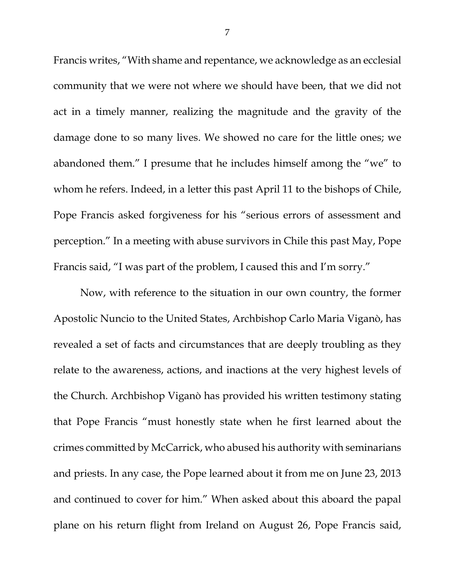Francis writes, "With shame and repentance, we acknowledge as an ecclesial community that we were not where we should have been, that we did not act in a timely manner, realizing the magnitude and the gravity of the damage done to so many lives. We showed no care for the little ones; we abandoned them." I presume that he includes himself among the "we" to whom he refers. Indeed, in a letter this past April 11 to the bishops of Chile, Pope Francis asked forgiveness for his "serious errors of assessment and perception." In a meeting with abuse survivors in Chile this past May, Pope Francis said, "I was part of the problem, I caused this and I'm sorry."

Now, with reference to the situation in our own country, the former Apostolic Nuncio to the United States, Archbishop Carlo Maria Viganò, has revealed a set of facts and circumstances that are deeply troubling as they relate to the awareness, actions, and inactions at the very highest levels of the Church. Archbishop Viganò has provided his written testimony stating that Pope Francis "must honestly state when he first learned about the crimes committed by McCarrick, who abused his authority with seminarians and priests. In any case, the Pope learned about it from me on June 23, 2013 and continued to cover for him." When asked about this aboard the papal plane on his return flight from Ireland on August 26, Pope Francis said,

7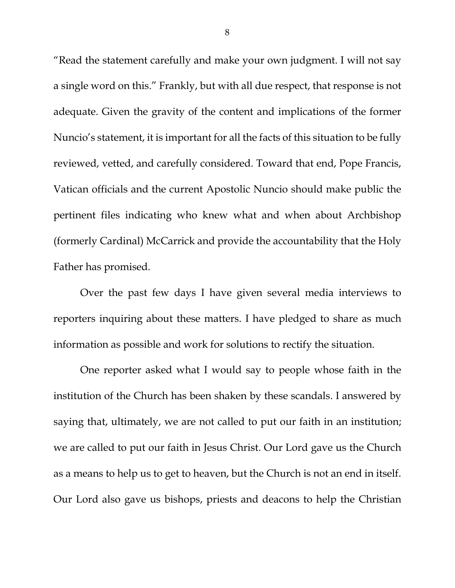"Read the statement carefully and make your own judgment. I will not say a single word on this." Frankly, but with all due respect, that response is not adequate. Given the gravity of the content and implications of the former Nuncio's statement, it is important for all the facts of this situation to be fully reviewed, vetted, and carefully considered. Toward that end, Pope Francis, Vatican officials and the current Apostolic Nuncio should make public the pertinent files indicating who knew what and when about Archbishop (formerly Cardinal) McCarrick and provide the accountability that the Holy Father has promised.

Over the past few days I have given several media interviews to reporters inquiring about these matters. I have pledged to share as much information as possible and work for solutions to rectify the situation.

One reporter asked what I would say to people whose faith in the institution of the Church has been shaken by these scandals. I answered by saying that, ultimately, we are not called to put our faith in an institution; we are called to put our faith in Jesus Christ. Our Lord gave us the Church as a means to help us to get to heaven, but the Church is not an end in itself. Our Lord also gave us bishops, priests and deacons to help the Christian